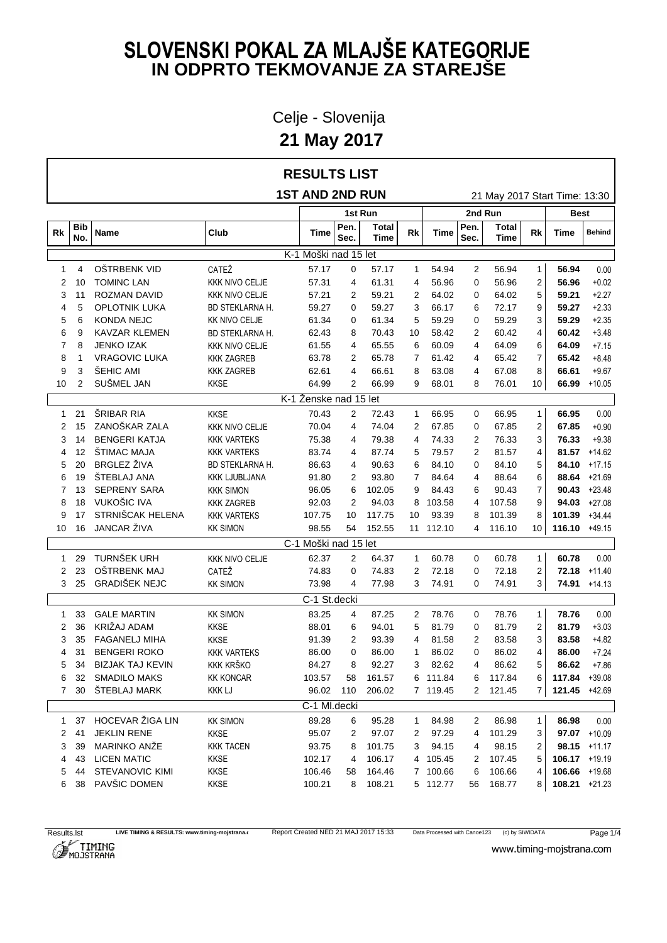Celje - Slovenija

**21 May 2017**

#### **RESULTS LIST**

**1ST AND 2ND RUN** 21 May 2017 Start Time: 13:30

|              |                |                         |                       |                       | 1st Run        |                      | 2nd Run        |           | Best           |                      |              |                  |                 |
|--------------|----------------|-------------------------|-----------------------|-----------------------|----------------|----------------------|----------------|-----------|----------------|----------------------|--------------|------------------|-----------------|
| Rk           | Bib<br>No.     | Name                    | Club                  | Time                  | Pen.<br>Sec.   | <b>Total</b><br>Time | Rk             | Time      | Pen.<br>Sec.   | <b>Total</b><br>Time | <b>Rk</b>    | Time             | <b>Behind</b>   |
|              |                |                         |                       | K-1 Moški nad 15 let  |                |                      |                |           |                |                      |              |                  |                 |
| 1            | 4              | OŠTRBENK VID            | CATEŽ                 | 57.17                 | 0              | 57.17                | $\mathbf{1}$   | 54.94     | $\overline{c}$ | 56.94                | $\mathbf{1}$ | 56.94            | 0.00            |
| 2            | 10             | <b>TOMINC LAN</b>       | <b>KKK NIVO CELJE</b> | 57.31                 | 4              | 61.31                | 4              | 56.96     | 0              | 56.96                | 2            | 56.96            | $+0.02$         |
| 3            | 11             | <b>ROZMAN DAVID</b>     | <b>KKK NIVO CELJE</b> | 57.21                 | 2              | 59.21                | 2              | 64.02     | 0              | 64.02                | 5            | 59.21            | $+2.27$         |
| 4            | 5              | <b>OPLOTNIK LUKA</b>    | BD STEKLARNA H.       | 59.27                 | 0              | 59.27                | 3              | 66.17     | 6              | 72.17                | 9            | 59.27            | $+2.33$         |
| 5            | 6              | KONDA NEJC              | <b>KK NIVO CELJE</b>  | 61.34                 | 0              | 61.34                | 5              | 59.29     | 0              | 59.29                | 3            | 59.29            | $+2.35$         |
| 6            | 9              | <b>KAVZAR KLEMEN</b>    | BD STEKLARNA H.       | 62.43                 | 8              | 70.43                | 10             | 58.42     | 2              | 60.42                | 4            | 60.42            | $+3.48$         |
| 7            | 8              | <b>JENKO IZAK</b>       | <b>KKK NIVO CELJE</b> | 61.55                 | 4              | 65.55                | 6              | 60.09     | 4              | 64.09                | 6            | 64.09            | $+7.15$         |
| 8            | -1             | <b>VRAGOVIC LUKA</b>    | <b>KKK ZAGREB</b>     | 63.78                 | 2              | 65.78                | 7              | 61.42     | 4              | 65.42                | 7            | 65.42            | $+8.48$         |
| 9            | 3              | ŠEHIC AMI               | <b>KKK ZAGREB</b>     | 62.61                 | 4              | 66.61                | 8              | 63.08     | 4              | 67.08                | 8            | 66.61            | $+9.67$         |
| 10           | $\overline{2}$ | SUŠMEL JAN              | <b>KKSE</b>           | 64.99                 | $\overline{2}$ | 66.99                | 9              | 68.01     | 8              | 76.01                | 10           |                  | 66.99 +10.05    |
|              |                |                         |                       | K-1 Ženske nad 15 let |                |                      |                |           |                |                      |              |                  |                 |
| $\mathbf{1}$ | 21             | ŠRIBAR RIA              | <b>KKSE</b>           | 70.43                 | 2              | 72.43                | $\mathbf{1}$   | 66.95     | 0              | 66.95                | $\mathbf{1}$ | 66.95            | 0.00            |
| 2            | 15             | ZANOŠKAR ZALA           | <b>KKK NIVO CELJE</b> | 70.04                 | 4              | 74.04                | 2              | 67.85     | 0              | 67.85                | 2            | 67.85            | $+0.90$         |
| 3            | 14             | <b>BENGERI KATJA</b>    | <b>KKK VARTEKS</b>    | 75.38                 | 4              | 79.38                | $\overline{4}$ | 74.33     | 2              | 76.33                | 3            | 76.33            | $+9.38$         |
| 4            | 12             | ŠTIMAC MAJA             | <b>KKK VARTEKS</b>    | 83.74                 | 4              | 87.74                | 5              | 79.57     | 2              | 81.57                | 4            | 81.57            | $+14.62$        |
| 5            | 20             | <b>BRGLEZ ŽIVA</b>      | BD STEKLARNA H.       | 86.63                 | 4              | 90.63                | 6              | 84.10     | 0              | 84.10                | 5            |                  | 84.10 $+17.15$  |
| 6            | 19             | ŠTEBLAJ ANA             | <b>KKK LJUBLJANA</b>  | 91.80                 | 2              | 93.80                | 7              | 84.64     | 4              | 88.64                | 6            |                  | 88.64 +21.69    |
| 7            | 13             | <b>SEPRENY SARA</b>     | <b>KKK SIMON</b>      | 96.05                 | 6              | 102.05               | 9              | 84.43     | 6              | 90.43                | 7            |                  | $90.43 +23.48$  |
| 8            | 18             | VUKOŠIC IVA             | <b>KKK ZAGREB</b>     | 92.03                 | $\overline{2}$ | 94.03                | 8              | 103.58    | 4              | 107.58               | 9            | 94.03            | $+27.08$        |
| 9            | 17             | STRNIŠCAK HELENA        | <b>KKK VARTEKS</b>    | 107.75                | 10             | 117.75               | 10             | 93.39     | 8              | 101.39               | 8            | 101.39           | $+34.44$        |
| 10           | 16             | JANCAR ŽIVA             | <b>KK SIMON</b>       | 98.55                 | 54             | 152.55               |                | 11 112.10 | 4              | 116.10               | 10           | $116.10 +49.15$  |                 |
|              |                |                         |                       | C-1 Moški nad 15 let  |                |                      |                |           |                |                      |              |                  |                 |
| 1            | 29             | TURNŠEK URH             | <b>KKK NIVO CELJE</b> | 62.37                 | 2              | 64.37                | $\mathbf{1}$   | 60.78     | 0              | 60.78                | $\mathbf{1}$ | 60.78            | 0.00            |
| 2            | 23             | OŠTRBENK MAJ            | CATEŽ                 | 74.83                 | 0              | 74.83                | 2              | 72.18     | 0              | 72.18                | 2            |                  | $72.18 + 11.40$ |
| 3            | 25             | <b>GRADIŠEK NEJC</b>    | <b>KK SIMON</b>       | 73.98                 | 4              | 77.98                | 3              | 74.91     | 0              | 74.91                | 3            |                  | $74.91 + 14.13$ |
|              |                |                         |                       | C-1 St.decki          |                |                      |                |           |                |                      |              |                  |                 |
| 1            | 33             | <b>GALE MARTIN</b>      | <b>KK SIMON</b>       | 83.25                 | 4              | 87.25                | 2              | 78.76     | 0              | 78.76                | $\mathbf{1}$ | 78.76            | 0.00            |
| 2            | 36             | KRIŽAJ ADAM             | <b>KKSE</b>           | 88.01                 | 6              | 94.01                | 5              | 81.79     | 0              | 81.79                | 2            | 81.79            | $+3.03$         |
| 3            | 35             | <b>FAGANELJ MIHA</b>    | <b>KKSE</b>           | 91.39                 | 2              | 93.39                | 4              | 81.58     | 2              | 83.58                | 3            | 83.58            | $+4.82$         |
| 4            | 31             | <b>BENGERI ROKO</b>     | <b>KKK VARTEKS</b>    | 86.00                 | 0              | 86.00                | $\mathbf{1}$   | 86.02     | 0              | 86.02                | 4            | 86.00            | $+7.24$         |
| 5            | 34             | <b>BIZJAK TAJ KEVIN</b> | <b>KKK KRŠKO</b>      | 84.27                 | 8              | 92.27                | 3              | 82.62     | 4              | 86.62                | 5            | 86.62            | $+7.86$         |
| 6            | 32             | <b>SMADILO MAKS</b>     | <b>KK KONCAR</b>      | 103.57                | 58             | 161.57               | 6              | 111.84    | 6              | 117.84               | 6            | 117.84           | $+39.08$        |
| 7            | 30             | ŠTEBLAJ MARK            | <b>KKK LJ</b>         | 96.02                 | 110            | 206.02               |                | 7 119.45  | 2              | 121.45               | 7            | 121.45 +42.69    |                 |
|              |                |                         |                       | C-1 MI.decki          |                |                      |                |           |                |                      |              |                  |                 |
| 1            | 37             | HOCEVAR ŽIGA LIN        | <b>KK SIMON</b>       | 89.28                 | 6              | 95.28                | $\mathbf 1$    | 84.98     | 2              | 86.98                | $\mathbf{1}$ | 86.98            | 0.00            |
| 2            | 41             | <b>JEKLIN RENE</b>      | <b>KKSE</b>           | 95.07                 | 2              | 97.07                | 2              | 97.29     | 4              | 101.29               | 3            |                  | 97.07 +10.09    |
| 3            | 39             | MARINKO ANŽE            | <b>KKK TACEN</b>      | 93.75                 | 8              | 101.75               | 3              | 94.15     | 4              | 98.15                | 2            |                  | $98.15 + 11.17$ |
| 4            | 43             | <b>LICEN MATIC</b>      | <b>KKSE</b>           | 102.17                | 4              | 106.17               |                | 4 105.45  | 2              | 107.45               | 5            | $106.17 + 19.19$ |                 |
| 5            | 44             | STEVANOVIC KIMI         | KKSE                  | 106.46                | 58             | 164.46               |                | 7 100.66  | 6              | 106.66               | 4            | 106.66 +19.68    |                 |
| 6            | 38             | PAVŠIC DOMEN            | <b>KKSE</b>           | 100.21                | 8              | 108.21               |                | 5 112.77  | 56             | 168.77               | 8            | $108.21 + 21.23$ |                 |
|              |                |                         |                       |                       |                |                      |                |           |                |                      |              |                  |                 |

Results.lst LIVE TIMING & RESULTS: www.timing-mojstrana.com<br>
Report Created NED 21 MAJ 2017 15:33 Data Processed with Canoe123 (c) by SIWIDATA Page 1/4<br>
MOJSTRANA WWW.timing-mojstrana.com



www.timing-mojstrana.com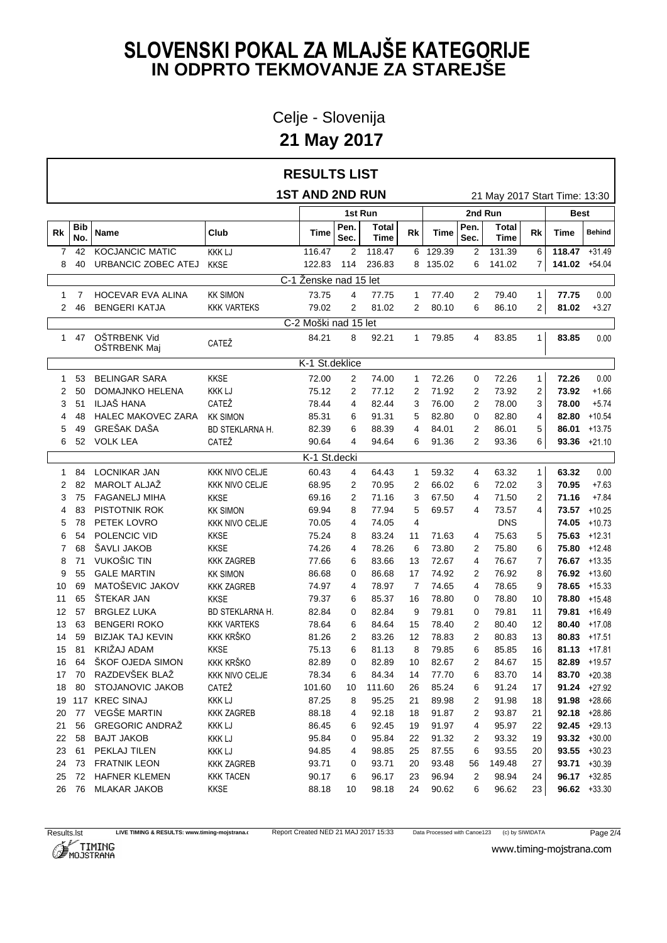Celje - Slovenija

**21 May 2017**

| <b>1ST AND 2ND RUN</b><br>21 May 2017 Start Time: 13:30<br>2nd Run<br>1st Run<br>Best<br>Pen.<br><b>Bib</b><br>Pen.<br><b>Total</b><br>Total<br>Rk<br>Club<br>Rk<br>Rk<br>Behind<br>Name<br>Time<br>Time<br>Time<br>No.<br>Sec.<br>Time<br>Sec.<br>Time<br><b>KOCJANCIC MATIC</b><br>6 129.39<br>42<br><b>KKK LJ</b><br>116.47<br>2<br>118.47<br>$\overline{2}$<br>131.39<br>6<br>$118.47 + 31.49$<br>7<br>URBANCIC ZOBEC ATEJ<br><b>KKSE</b><br>122.83<br>114<br>236.83<br>8 135.02<br>141.02 +54.04<br>8<br>40<br>6<br>141.02<br>7<br>C-1 Ženske nad 15 let<br><b>HOCEVAR EVA ALINA</b><br><b>KK SIMON</b><br>73.75<br>1 77.40<br>2<br>77.75<br>0.00<br>7<br>4<br>77.75<br>79.40<br>$\mathbf{1}$<br>1<br><b>BENGERI KATJA</b><br>79.02<br>81.02<br>80.10<br>$\overline{2}$<br>81.02<br>-46<br><b>KKK VARTEKS</b><br>2<br>$\mathbf{2}$<br>6<br>86.10<br>$+3.27$<br>2<br>C-2 Moški nad 15 let<br>OŠTRBENK Vid<br>84.21<br>92.21<br>0.00<br>47<br>8<br>79.85<br>83.85<br>83.85<br>$\mathbf{1}$<br>1.<br>4<br>1<br>CATEŽ<br>OŠTRBENK Maj<br>K-1 St.deklice<br><b>BELINGAR SARA</b><br>0.00<br><b>KKSE</b><br>72.00<br>$\overline{2}$<br>72.26<br>72.26<br>72.26<br>53<br>74.00<br>1<br>0<br>1<br>1<br>50<br>DOMAJNKO HELENA<br>71.92<br>2<br>2<br><b>KKK LJ</b><br>75.12<br>2<br>77.12<br>2<br>73.92<br>73.92<br>$+1.66$<br>2<br>ILJAŠ HANA<br>51<br>CATEŽ<br>82.44<br>76.00<br>2<br>3<br>78.00<br>3<br>78.44<br>4<br>3<br>78.00<br>$+5.74$<br>HALEC MAKOVEC ZARA<br><b>KK SIMON</b><br>82.80<br>82.80<br>$+10.54$<br>48<br>85.31<br>6<br>91.31<br>5<br>0<br>82.80<br>4<br>4<br>GREŠAK DAŠA<br>BD STEKLARNA H.<br>82.39<br>6<br>2<br>5<br>86.01 $+13.75$<br>49<br>88.39<br>84.01<br>86.01<br>5<br>4<br>52<br><b>VOLK LEA</b><br>90.64<br>2<br>$93.36 +21.10$<br>6<br>CATEŽ<br>4<br>94.64<br>91.36<br>93.36<br>6<br>6<br>K-1 St.decki<br><b>LOCNIKAR JAN</b><br><b>KKK NIVO CELJE</b><br>0.00<br>59.32<br>63.32<br>63.32<br>84<br>60.43<br>64.43<br>1<br>4<br>4<br>1<br>1<br>MAROLT ALJAŽ<br>82<br><b>KKK NIVO CELJE</b><br>2<br>66.02<br>6<br>72.02<br>3<br>70.95<br>$+7.63$<br>2<br>68.95<br>70.95<br>2<br><b>FAGANELJ MIHA</b><br>2<br>67.50<br>71.50<br>2<br>71.16<br>$+7.84$<br>3<br>75<br><b>KKSE</b><br>69.16<br>71.16<br>3<br>4<br>PISTOTNIK ROK<br>$73.57 + 10.25$<br>83<br><b>KK SIMON</b><br>69.94<br>8<br>77.94<br>5<br>69.57<br>4<br>73.57<br>4<br>4<br>PETEK LOVRO<br>4<br><b>DNS</b><br>$74.05 + 10.73$<br>78<br><b>KKK NIVO CELJE</b><br>70.05<br>74.05<br>4<br>5<br>54<br>POLENCIC VID<br>$75.63 + 12.31$<br><b>KKSE</b><br>75.24<br>8<br>83.24<br>11<br>71.63<br>75.63<br>5<br>6<br>4<br>ŠAVLI JAKOB<br>$75.80 + 12.48$<br>68<br><b>KKSE</b><br>74.26<br>78.26<br>6<br>73.80<br>2<br>75.80<br>6<br>7<br>4<br>VUKOŠIC TIN<br>71<br><b>KKK ZAGREB</b><br>77.66<br>13<br>72.67<br>4<br>76.67<br>7<br>$76.67$ +13.35<br>8<br>6<br>83.66<br><b>GALE MARTIN</b><br>76.92 +13.60<br>55<br>17<br>74.92<br>2<br>76.92<br>8<br>9<br><b>KK SIMON</b><br>86.68<br>0<br>86.68<br>MATOŠEVIC JAKOV<br>69<br>78.97<br>7<br>74.65<br>78.65<br>9<br>$78.65 + 15.33$<br>10<br><b>KKK ZAGREB</b><br>74.97<br>4<br>4<br>ŠTEKAR JAN<br>65<br>78.80<br>78.80 +15.48<br><b>KKSE</b><br>79.37<br>6<br>85.37<br>16<br>0<br>78.80<br>10<br>11<br>57<br><b>BRGLEZ LUKA</b><br>BD STEKLARNA H.<br>79.81<br>79.81<br>12<br>82.84<br>0<br>82.84<br>9<br>0<br>79.81<br>11<br>$+16.49$<br>63<br><b>BENGERI ROKO</b><br><b>KKK VARTEKS</b><br>2<br>80.40 $+17.08$<br>78.64<br>6<br>84.64<br>15<br>78.40<br>80.40<br>12<br>13<br><b>KKK KRŠKO</b><br>59<br><b>BIZJAK TAJ KEVIN</b><br>78.83<br>2<br>$80.83 + 17.51$<br>81.26<br>2<br>83.26<br>80.83<br>13<br>14<br>12<br>KRIŽAJ ADAM<br>81<br>6<br>$81.13 + 17.81$<br>15<br><b>KKSE</b><br>75.13<br>6<br>81.13<br>8<br>79.85<br>85.85<br>16<br>64<br>ŠKOF OJEDA SIMON<br><b>KKK KRŠKO</b><br>82.89<br>82.89<br>10<br>82.67<br>2<br>84.67<br>15<br>82.89 +19.57<br>16<br>0<br>RAZDEVŠEK BLAŽ<br>84.34<br>14<br>77.70<br>6<br>83.70<br>83.70 $+20.38$<br>70<br><b>KKK NIVO CELJE</b><br>78.34<br>6<br>14<br>17<br>STOJANOVIC JAKOB<br>80<br>CATEŽ<br>111.60<br>26<br>85.24<br>91.24<br>91.24 $+27.92$<br>18<br>101.60<br>10<br>6<br>17<br>19 117<br><b>KREC SINAJ</b><br><b>KKK LJ</b><br>89.98<br>87.25<br>8<br>95.25<br>21<br>2<br>91.98<br>$91.98 + 28.66$<br>18<br>VEGŠE MARTIN<br>91.87<br>92.18 $+28.86$<br>77<br>92.18<br>2<br>93.87<br><b>KKK ZAGREB</b><br>88.18<br>4<br>18<br>21<br>20<br><b>GREGORIC ANDRAŽ</b><br>56<br>92.45<br>91.97<br>95.97<br>92.45 $+29.13$<br><b>KKK LJ</b><br>86.45<br>6<br>19<br>4<br>22<br>21<br>58<br><b>BAJT JAKOB</b><br><b>KKK LJ</b><br>95.84<br>91.32<br>93.32<br>$93.32 + 30.00$<br>95.84<br>0<br>22<br>2<br>22<br>19<br>61<br>PEKLAJ TILEN<br>87.55<br>93.55<br>$93.55 + 30.23$<br><b>KKK LJ</b><br>94.85<br>98.85<br>25<br>6<br>23<br>4<br>20<br>73<br><b>FRATNIK LEON</b><br><b>KKK ZAGREB</b><br>93.71<br>93.48<br>149.48<br>$93.71 + 30.39$<br>0<br>93.71<br>20<br>56<br>27<br>24<br>72<br><b>HAFNER KLEMEN</b><br><b>KKK TACEN</b><br>90.17<br>96.17<br>23<br>96.94<br>2<br>98.94<br>$96.17 + 32.85$<br>6<br>24<br>25<br>76<br><b>MLAKAR JAKOB</b><br>$96.62 + 33.30$<br>26<br>KKSE<br>88.18<br>10<br>98.18<br>24<br>90.62<br>6<br>96.62<br>23 |  |  | <b>RESULTS LIST</b> |  |  |  |  |  |  |  |
|-----------------------------------------------------------------------------------------------------------------------------------------------------------------------------------------------------------------------------------------------------------------------------------------------------------------------------------------------------------------------------------------------------------------------------------------------------------------------------------------------------------------------------------------------------------------------------------------------------------------------------------------------------------------------------------------------------------------------------------------------------------------------------------------------------------------------------------------------------------------------------------------------------------------------------------------------------------------------------------------------------------------------------------------------------------------------------------------------------------------------------------------------------------------------------------------------------------------------------------------------------------------------------------------------------------------------------------------------------------------------------------------------------------------------------------------------------------------------------------------------------------------------------------------------------------------------------------------------------------------------------------------------------------------------------------------------------------------------------------------------------------------------------------------------------------------------------------------------------------------------------------------------------------------------------------------------------------------------------------------------------------------------------------------------------------------------------------------------------------------------------------------------------------------------------------------------------------------------------------------------------------------------------------------------------------------------------------------------------------------------------------------------------------------------------------------------------------------------------------------------------------------------------------------------------------------------------------------------------------------------------------------------------------------------------------------------------------------------------------------------------------------------------------------------------------------------------------------------------------------------------------------------------------------------------------------------------------------------------------------------------------------------------------------------------------------------------------------------------------------------------------------------------------------------------------------------------------------------------------------------------------------------------------------------------------------------------------------------------------------------------------------------------------------------------------------------------------------------------------------------------------------------------------------------------------------------------------------------------------------------------------------------------------------------------------------------------------------------------------------------------------------------------------------------------------------------------------------------------------------------------------------------------------------------------------------------------------------------------------------------------------------------------------------------------------------------------------------------------------------------------------------------------------------------------------------------------------------------------------------------------------------------------------------------------------------------------------------------------------------------------------------------------------------------------------------------------------------------------------------------------------------------------------------------------------------------------------------------------------------------------------------------------------------------------------------------------------------------------------------------------------------------------------------------------------------------------------------------------------------------------------------------------------------------------------------------------------------------------------------------------------------------------------------------------------------------------------------------------------------------------------------------------------------------------------------------------------------------------|--|--|---------------------|--|--|--|--|--|--|--|
|                                                                                                                                                                                                                                                                                                                                                                                                                                                                                                                                                                                                                                                                                                                                                                                                                                                                                                                                                                                                                                                                                                                                                                                                                                                                                                                                                                                                                                                                                                                                                                                                                                                                                                                                                                                                                                                                                                                                                                                                                                                                                                                                                                                                                                                                                                                                                                                                                                                                                                                                                                                                                                                                                                                                                                                                                                                                                                                                                                                                                                                                                                                                                                                                                                                                                                                                                                                                                                                                                                                                                                                                                                                                                                                                                                                                                                                                                                                                                                                                                                                                                                                                                                                                                                                                                                                                                                                                                                                                                                                                                                                                                                                                                                                                                                                                                                                                                                                                                                                                                                                                                                                                                                                                                             |  |  |                     |  |  |  |  |  |  |  |
|                                                                                                                                                                                                                                                                                                                                                                                                                                                                                                                                                                                                                                                                                                                                                                                                                                                                                                                                                                                                                                                                                                                                                                                                                                                                                                                                                                                                                                                                                                                                                                                                                                                                                                                                                                                                                                                                                                                                                                                                                                                                                                                                                                                                                                                                                                                                                                                                                                                                                                                                                                                                                                                                                                                                                                                                                                                                                                                                                                                                                                                                                                                                                                                                                                                                                                                                                                                                                                                                                                                                                                                                                                                                                                                                                                                                                                                                                                                                                                                                                                                                                                                                                                                                                                                                                                                                                                                                                                                                                                                                                                                                                                                                                                                                                                                                                                                                                                                                                                                                                                                                                                                                                                                                                             |  |  |                     |  |  |  |  |  |  |  |
|                                                                                                                                                                                                                                                                                                                                                                                                                                                                                                                                                                                                                                                                                                                                                                                                                                                                                                                                                                                                                                                                                                                                                                                                                                                                                                                                                                                                                                                                                                                                                                                                                                                                                                                                                                                                                                                                                                                                                                                                                                                                                                                                                                                                                                                                                                                                                                                                                                                                                                                                                                                                                                                                                                                                                                                                                                                                                                                                                                                                                                                                                                                                                                                                                                                                                                                                                                                                                                                                                                                                                                                                                                                                                                                                                                                                                                                                                                                                                                                                                                                                                                                                                                                                                                                                                                                                                                                                                                                                                                                                                                                                                                                                                                                                                                                                                                                                                                                                                                                                                                                                                                                                                                                                                             |  |  |                     |  |  |  |  |  |  |  |
|                                                                                                                                                                                                                                                                                                                                                                                                                                                                                                                                                                                                                                                                                                                                                                                                                                                                                                                                                                                                                                                                                                                                                                                                                                                                                                                                                                                                                                                                                                                                                                                                                                                                                                                                                                                                                                                                                                                                                                                                                                                                                                                                                                                                                                                                                                                                                                                                                                                                                                                                                                                                                                                                                                                                                                                                                                                                                                                                                                                                                                                                                                                                                                                                                                                                                                                                                                                                                                                                                                                                                                                                                                                                                                                                                                                                                                                                                                                                                                                                                                                                                                                                                                                                                                                                                                                                                                                                                                                                                                                                                                                                                                                                                                                                                                                                                                                                                                                                                                                                                                                                                                                                                                                                                             |  |  |                     |  |  |  |  |  |  |  |
|                                                                                                                                                                                                                                                                                                                                                                                                                                                                                                                                                                                                                                                                                                                                                                                                                                                                                                                                                                                                                                                                                                                                                                                                                                                                                                                                                                                                                                                                                                                                                                                                                                                                                                                                                                                                                                                                                                                                                                                                                                                                                                                                                                                                                                                                                                                                                                                                                                                                                                                                                                                                                                                                                                                                                                                                                                                                                                                                                                                                                                                                                                                                                                                                                                                                                                                                                                                                                                                                                                                                                                                                                                                                                                                                                                                                                                                                                                                                                                                                                                                                                                                                                                                                                                                                                                                                                                                                                                                                                                                                                                                                                                                                                                                                                                                                                                                                                                                                                                                                                                                                                                                                                                                                                             |  |  |                     |  |  |  |  |  |  |  |
|                                                                                                                                                                                                                                                                                                                                                                                                                                                                                                                                                                                                                                                                                                                                                                                                                                                                                                                                                                                                                                                                                                                                                                                                                                                                                                                                                                                                                                                                                                                                                                                                                                                                                                                                                                                                                                                                                                                                                                                                                                                                                                                                                                                                                                                                                                                                                                                                                                                                                                                                                                                                                                                                                                                                                                                                                                                                                                                                                                                                                                                                                                                                                                                                                                                                                                                                                                                                                                                                                                                                                                                                                                                                                                                                                                                                                                                                                                                                                                                                                                                                                                                                                                                                                                                                                                                                                                                                                                                                                                                                                                                                                                                                                                                                                                                                                                                                                                                                                                                                                                                                                                                                                                                                                             |  |  |                     |  |  |  |  |  |  |  |
|                                                                                                                                                                                                                                                                                                                                                                                                                                                                                                                                                                                                                                                                                                                                                                                                                                                                                                                                                                                                                                                                                                                                                                                                                                                                                                                                                                                                                                                                                                                                                                                                                                                                                                                                                                                                                                                                                                                                                                                                                                                                                                                                                                                                                                                                                                                                                                                                                                                                                                                                                                                                                                                                                                                                                                                                                                                                                                                                                                                                                                                                                                                                                                                                                                                                                                                                                                                                                                                                                                                                                                                                                                                                                                                                                                                                                                                                                                                                                                                                                                                                                                                                                                                                                                                                                                                                                                                                                                                                                                                                                                                                                                                                                                                                                                                                                                                                                                                                                                                                                                                                                                                                                                                                                             |  |  |                     |  |  |  |  |  |  |  |
|                                                                                                                                                                                                                                                                                                                                                                                                                                                                                                                                                                                                                                                                                                                                                                                                                                                                                                                                                                                                                                                                                                                                                                                                                                                                                                                                                                                                                                                                                                                                                                                                                                                                                                                                                                                                                                                                                                                                                                                                                                                                                                                                                                                                                                                                                                                                                                                                                                                                                                                                                                                                                                                                                                                                                                                                                                                                                                                                                                                                                                                                                                                                                                                                                                                                                                                                                                                                                                                                                                                                                                                                                                                                                                                                                                                                                                                                                                                                                                                                                                                                                                                                                                                                                                                                                                                                                                                                                                                                                                                                                                                                                                                                                                                                                                                                                                                                                                                                                                                                                                                                                                                                                                                                                             |  |  |                     |  |  |  |  |  |  |  |
|                                                                                                                                                                                                                                                                                                                                                                                                                                                                                                                                                                                                                                                                                                                                                                                                                                                                                                                                                                                                                                                                                                                                                                                                                                                                                                                                                                                                                                                                                                                                                                                                                                                                                                                                                                                                                                                                                                                                                                                                                                                                                                                                                                                                                                                                                                                                                                                                                                                                                                                                                                                                                                                                                                                                                                                                                                                                                                                                                                                                                                                                                                                                                                                                                                                                                                                                                                                                                                                                                                                                                                                                                                                                                                                                                                                                                                                                                                                                                                                                                                                                                                                                                                                                                                                                                                                                                                                                                                                                                                                                                                                                                                                                                                                                                                                                                                                                                                                                                                                                                                                                                                                                                                                                                             |  |  |                     |  |  |  |  |  |  |  |
|                                                                                                                                                                                                                                                                                                                                                                                                                                                                                                                                                                                                                                                                                                                                                                                                                                                                                                                                                                                                                                                                                                                                                                                                                                                                                                                                                                                                                                                                                                                                                                                                                                                                                                                                                                                                                                                                                                                                                                                                                                                                                                                                                                                                                                                                                                                                                                                                                                                                                                                                                                                                                                                                                                                                                                                                                                                                                                                                                                                                                                                                                                                                                                                                                                                                                                                                                                                                                                                                                                                                                                                                                                                                                                                                                                                                                                                                                                                                                                                                                                                                                                                                                                                                                                                                                                                                                                                                                                                                                                                                                                                                                                                                                                                                                                                                                                                                                                                                                                                                                                                                                                                                                                                                                             |  |  |                     |  |  |  |  |  |  |  |
|                                                                                                                                                                                                                                                                                                                                                                                                                                                                                                                                                                                                                                                                                                                                                                                                                                                                                                                                                                                                                                                                                                                                                                                                                                                                                                                                                                                                                                                                                                                                                                                                                                                                                                                                                                                                                                                                                                                                                                                                                                                                                                                                                                                                                                                                                                                                                                                                                                                                                                                                                                                                                                                                                                                                                                                                                                                                                                                                                                                                                                                                                                                                                                                                                                                                                                                                                                                                                                                                                                                                                                                                                                                                                                                                                                                                                                                                                                                                                                                                                                                                                                                                                                                                                                                                                                                                                                                                                                                                                                                                                                                                                                                                                                                                                                                                                                                                                                                                                                                                                                                                                                                                                                                                                             |  |  |                     |  |  |  |  |  |  |  |
|                                                                                                                                                                                                                                                                                                                                                                                                                                                                                                                                                                                                                                                                                                                                                                                                                                                                                                                                                                                                                                                                                                                                                                                                                                                                                                                                                                                                                                                                                                                                                                                                                                                                                                                                                                                                                                                                                                                                                                                                                                                                                                                                                                                                                                                                                                                                                                                                                                                                                                                                                                                                                                                                                                                                                                                                                                                                                                                                                                                                                                                                                                                                                                                                                                                                                                                                                                                                                                                                                                                                                                                                                                                                                                                                                                                                                                                                                                                                                                                                                                                                                                                                                                                                                                                                                                                                                                                                                                                                                                                                                                                                                                                                                                                                                                                                                                                                                                                                                                                                                                                                                                                                                                                                                             |  |  |                     |  |  |  |  |  |  |  |
|                                                                                                                                                                                                                                                                                                                                                                                                                                                                                                                                                                                                                                                                                                                                                                                                                                                                                                                                                                                                                                                                                                                                                                                                                                                                                                                                                                                                                                                                                                                                                                                                                                                                                                                                                                                                                                                                                                                                                                                                                                                                                                                                                                                                                                                                                                                                                                                                                                                                                                                                                                                                                                                                                                                                                                                                                                                                                                                                                                                                                                                                                                                                                                                                                                                                                                                                                                                                                                                                                                                                                                                                                                                                                                                                                                                                                                                                                                                                                                                                                                                                                                                                                                                                                                                                                                                                                                                                                                                                                                                                                                                                                                                                                                                                                                                                                                                                                                                                                                                                                                                                                                                                                                                                                             |  |  |                     |  |  |  |  |  |  |  |
|                                                                                                                                                                                                                                                                                                                                                                                                                                                                                                                                                                                                                                                                                                                                                                                                                                                                                                                                                                                                                                                                                                                                                                                                                                                                                                                                                                                                                                                                                                                                                                                                                                                                                                                                                                                                                                                                                                                                                                                                                                                                                                                                                                                                                                                                                                                                                                                                                                                                                                                                                                                                                                                                                                                                                                                                                                                                                                                                                                                                                                                                                                                                                                                                                                                                                                                                                                                                                                                                                                                                                                                                                                                                                                                                                                                                                                                                                                                                                                                                                                                                                                                                                                                                                                                                                                                                                                                                                                                                                                                                                                                                                                                                                                                                                                                                                                                                                                                                                                                                                                                                                                                                                                                                                             |  |  |                     |  |  |  |  |  |  |  |
|                                                                                                                                                                                                                                                                                                                                                                                                                                                                                                                                                                                                                                                                                                                                                                                                                                                                                                                                                                                                                                                                                                                                                                                                                                                                                                                                                                                                                                                                                                                                                                                                                                                                                                                                                                                                                                                                                                                                                                                                                                                                                                                                                                                                                                                                                                                                                                                                                                                                                                                                                                                                                                                                                                                                                                                                                                                                                                                                                                                                                                                                                                                                                                                                                                                                                                                                                                                                                                                                                                                                                                                                                                                                                                                                                                                                                                                                                                                                                                                                                                                                                                                                                                                                                                                                                                                                                                                                                                                                                                                                                                                                                                                                                                                                                                                                                                                                                                                                                                                                                                                                                                                                                                                                                             |  |  |                     |  |  |  |  |  |  |  |
|                                                                                                                                                                                                                                                                                                                                                                                                                                                                                                                                                                                                                                                                                                                                                                                                                                                                                                                                                                                                                                                                                                                                                                                                                                                                                                                                                                                                                                                                                                                                                                                                                                                                                                                                                                                                                                                                                                                                                                                                                                                                                                                                                                                                                                                                                                                                                                                                                                                                                                                                                                                                                                                                                                                                                                                                                                                                                                                                                                                                                                                                                                                                                                                                                                                                                                                                                                                                                                                                                                                                                                                                                                                                                                                                                                                                                                                                                                                                                                                                                                                                                                                                                                                                                                                                                                                                                                                                                                                                                                                                                                                                                                                                                                                                                                                                                                                                                                                                                                                                                                                                                                                                                                                                                             |  |  |                     |  |  |  |  |  |  |  |
|                                                                                                                                                                                                                                                                                                                                                                                                                                                                                                                                                                                                                                                                                                                                                                                                                                                                                                                                                                                                                                                                                                                                                                                                                                                                                                                                                                                                                                                                                                                                                                                                                                                                                                                                                                                                                                                                                                                                                                                                                                                                                                                                                                                                                                                                                                                                                                                                                                                                                                                                                                                                                                                                                                                                                                                                                                                                                                                                                                                                                                                                                                                                                                                                                                                                                                                                                                                                                                                                                                                                                                                                                                                                                                                                                                                                                                                                                                                                                                                                                                                                                                                                                                                                                                                                                                                                                                                                                                                                                                                                                                                                                                                                                                                                                                                                                                                                                                                                                                                                                                                                                                                                                                                                                             |  |  |                     |  |  |  |  |  |  |  |
|                                                                                                                                                                                                                                                                                                                                                                                                                                                                                                                                                                                                                                                                                                                                                                                                                                                                                                                                                                                                                                                                                                                                                                                                                                                                                                                                                                                                                                                                                                                                                                                                                                                                                                                                                                                                                                                                                                                                                                                                                                                                                                                                                                                                                                                                                                                                                                                                                                                                                                                                                                                                                                                                                                                                                                                                                                                                                                                                                                                                                                                                                                                                                                                                                                                                                                                                                                                                                                                                                                                                                                                                                                                                                                                                                                                                                                                                                                                                                                                                                                                                                                                                                                                                                                                                                                                                                                                                                                                                                                                                                                                                                                                                                                                                                                                                                                                                                                                                                                                                                                                                                                                                                                                                                             |  |  |                     |  |  |  |  |  |  |  |
|                                                                                                                                                                                                                                                                                                                                                                                                                                                                                                                                                                                                                                                                                                                                                                                                                                                                                                                                                                                                                                                                                                                                                                                                                                                                                                                                                                                                                                                                                                                                                                                                                                                                                                                                                                                                                                                                                                                                                                                                                                                                                                                                                                                                                                                                                                                                                                                                                                                                                                                                                                                                                                                                                                                                                                                                                                                                                                                                                                                                                                                                                                                                                                                                                                                                                                                                                                                                                                                                                                                                                                                                                                                                                                                                                                                                                                                                                                                                                                                                                                                                                                                                                                                                                                                                                                                                                                                                                                                                                                                                                                                                                                                                                                                                                                                                                                                                                                                                                                                                                                                                                                                                                                                                                             |  |  |                     |  |  |  |  |  |  |  |
|                                                                                                                                                                                                                                                                                                                                                                                                                                                                                                                                                                                                                                                                                                                                                                                                                                                                                                                                                                                                                                                                                                                                                                                                                                                                                                                                                                                                                                                                                                                                                                                                                                                                                                                                                                                                                                                                                                                                                                                                                                                                                                                                                                                                                                                                                                                                                                                                                                                                                                                                                                                                                                                                                                                                                                                                                                                                                                                                                                                                                                                                                                                                                                                                                                                                                                                                                                                                                                                                                                                                                                                                                                                                                                                                                                                                                                                                                                                                                                                                                                                                                                                                                                                                                                                                                                                                                                                                                                                                                                                                                                                                                                                                                                                                                                                                                                                                                                                                                                                                                                                                                                                                                                                                                             |  |  |                     |  |  |  |  |  |  |  |
|                                                                                                                                                                                                                                                                                                                                                                                                                                                                                                                                                                                                                                                                                                                                                                                                                                                                                                                                                                                                                                                                                                                                                                                                                                                                                                                                                                                                                                                                                                                                                                                                                                                                                                                                                                                                                                                                                                                                                                                                                                                                                                                                                                                                                                                                                                                                                                                                                                                                                                                                                                                                                                                                                                                                                                                                                                                                                                                                                                                                                                                                                                                                                                                                                                                                                                                                                                                                                                                                                                                                                                                                                                                                                                                                                                                                                                                                                                                                                                                                                                                                                                                                                                                                                                                                                                                                                                                                                                                                                                                                                                                                                                                                                                                                                                                                                                                                                                                                                                                                                                                                                                                                                                                                                             |  |  |                     |  |  |  |  |  |  |  |
|                                                                                                                                                                                                                                                                                                                                                                                                                                                                                                                                                                                                                                                                                                                                                                                                                                                                                                                                                                                                                                                                                                                                                                                                                                                                                                                                                                                                                                                                                                                                                                                                                                                                                                                                                                                                                                                                                                                                                                                                                                                                                                                                                                                                                                                                                                                                                                                                                                                                                                                                                                                                                                                                                                                                                                                                                                                                                                                                                                                                                                                                                                                                                                                                                                                                                                                                                                                                                                                                                                                                                                                                                                                                                                                                                                                                                                                                                                                                                                                                                                                                                                                                                                                                                                                                                                                                                                                                                                                                                                                                                                                                                                                                                                                                                                                                                                                                                                                                                                                                                                                                                                                                                                                                                             |  |  |                     |  |  |  |  |  |  |  |
|                                                                                                                                                                                                                                                                                                                                                                                                                                                                                                                                                                                                                                                                                                                                                                                                                                                                                                                                                                                                                                                                                                                                                                                                                                                                                                                                                                                                                                                                                                                                                                                                                                                                                                                                                                                                                                                                                                                                                                                                                                                                                                                                                                                                                                                                                                                                                                                                                                                                                                                                                                                                                                                                                                                                                                                                                                                                                                                                                                                                                                                                                                                                                                                                                                                                                                                                                                                                                                                                                                                                                                                                                                                                                                                                                                                                                                                                                                                                                                                                                                                                                                                                                                                                                                                                                                                                                                                                                                                                                                                                                                                                                                                                                                                                                                                                                                                                                                                                                                                                                                                                                                                                                                                                                             |  |  |                     |  |  |  |  |  |  |  |
|                                                                                                                                                                                                                                                                                                                                                                                                                                                                                                                                                                                                                                                                                                                                                                                                                                                                                                                                                                                                                                                                                                                                                                                                                                                                                                                                                                                                                                                                                                                                                                                                                                                                                                                                                                                                                                                                                                                                                                                                                                                                                                                                                                                                                                                                                                                                                                                                                                                                                                                                                                                                                                                                                                                                                                                                                                                                                                                                                                                                                                                                                                                                                                                                                                                                                                                                                                                                                                                                                                                                                                                                                                                                                                                                                                                                                                                                                                                                                                                                                                                                                                                                                                                                                                                                                                                                                                                                                                                                                                                                                                                                                                                                                                                                                                                                                                                                                                                                                                                                                                                                                                                                                                                                                             |  |  |                     |  |  |  |  |  |  |  |
|                                                                                                                                                                                                                                                                                                                                                                                                                                                                                                                                                                                                                                                                                                                                                                                                                                                                                                                                                                                                                                                                                                                                                                                                                                                                                                                                                                                                                                                                                                                                                                                                                                                                                                                                                                                                                                                                                                                                                                                                                                                                                                                                                                                                                                                                                                                                                                                                                                                                                                                                                                                                                                                                                                                                                                                                                                                                                                                                                                                                                                                                                                                                                                                                                                                                                                                                                                                                                                                                                                                                                                                                                                                                                                                                                                                                                                                                                                                                                                                                                                                                                                                                                                                                                                                                                                                                                                                                                                                                                                                                                                                                                                                                                                                                                                                                                                                                                                                                                                                                                                                                                                                                                                                                                             |  |  |                     |  |  |  |  |  |  |  |
|                                                                                                                                                                                                                                                                                                                                                                                                                                                                                                                                                                                                                                                                                                                                                                                                                                                                                                                                                                                                                                                                                                                                                                                                                                                                                                                                                                                                                                                                                                                                                                                                                                                                                                                                                                                                                                                                                                                                                                                                                                                                                                                                                                                                                                                                                                                                                                                                                                                                                                                                                                                                                                                                                                                                                                                                                                                                                                                                                                                                                                                                                                                                                                                                                                                                                                                                                                                                                                                                                                                                                                                                                                                                                                                                                                                                                                                                                                                                                                                                                                                                                                                                                                                                                                                                                                                                                                                                                                                                                                                                                                                                                                                                                                                                                                                                                                                                                                                                                                                                                                                                                                                                                                                                                             |  |  |                     |  |  |  |  |  |  |  |
|                                                                                                                                                                                                                                                                                                                                                                                                                                                                                                                                                                                                                                                                                                                                                                                                                                                                                                                                                                                                                                                                                                                                                                                                                                                                                                                                                                                                                                                                                                                                                                                                                                                                                                                                                                                                                                                                                                                                                                                                                                                                                                                                                                                                                                                                                                                                                                                                                                                                                                                                                                                                                                                                                                                                                                                                                                                                                                                                                                                                                                                                                                                                                                                                                                                                                                                                                                                                                                                                                                                                                                                                                                                                                                                                                                                                                                                                                                                                                                                                                                                                                                                                                                                                                                                                                                                                                                                                                                                                                                                                                                                                                                                                                                                                                                                                                                                                                                                                                                                                                                                                                                                                                                                                                             |  |  |                     |  |  |  |  |  |  |  |
|                                                                                                                                                                                                                                                                                                                                                                                                                                                                                                                                                                                                                                                                                                                                                                                                                                                                                                                                                                                                                                                                                                                                                                                                                                                                                                                                                                                                                                                                                                                                                                                                                                                                                                                                                                                                                                                                                                                                                                                                                                                                                                                                                                                                                                                                                                                                                                                                                                                                                                                                                                                                                                                                                                                                                                                                                                                                                                                                                                                                                                                                                                                                                                                                                                                                                                                                                                                                                                                                                                                                                                                                                                                                                                                                                                                                                                                                                                                                                                                                                                                                                                                                                                                                                                                                                                                                                                                                                                                                                                                                                                                                                                                                                                                                                                                                                                                                                                                                                                                                                                                                                                                                                                                                                             |  |  |                     |  |  |  |  |  |  |  |
|                                                                                                                                                                                                                                                                                                                                                                                                                                                                                                                                                                                                                                                                                                                                                                                                                                                                                                                                                                                                                                                                                                                                                                                                                                                                                                                                                                                                                                                                                                                                                                                                                                                                                                                                                                                                                                                                                                                                                                                                                                                                                                                                                                                                                                                                                                                                                                                                                                                                                                                                                                                                                                                                                                                                                                                                                                                                                                                                                                                                                                                                                                                                                                                                                                                                                                                                                                                                                                                                                                                                                                                                                                                                                                                                                                                                                                                                                                                                                                                                                                                                                                                                                                                                                                                                                                                                                                                                                                                                                                                                                                                                                                                                                                                                                                                                                                                                                                                                                                                                                                                                                                                                                                                                                             |  |  |                     |  |  |  |  |  |  |  |
|                                                                                                                                                                                                                                                                                                                                                                                                                                                                                                                                                                                                                                                                                                                                                                                                                                                                                                                                                                                                                                                                                                                                                                                                                                                                                                                                                                                                                                                                                                                                                                                                                                                                                                                                                                                                                                                                                                                                                                                                                                                                                                                                                                                                                                                                                                                                                                                                                                                                                                                                                                                                                                                                                                                                                                                                                                                                                                                                                                                                                                                                                                                                                                                                                                                                                                                                                                                                                                                                                                                                                                                                                                                                                                                                                                                                                                                                                                                                                                                                                                                                                                                                                                                                                                                                                                                                                                                                                                                                                                                                                                                                                                                                                                                                                                                                                                                                                                                                                                                                                                                                                                                                                                                                                             |  |  |                     |  |  |  |  |  |  |  |
|                                                                                                                                                                                                                                                                                                                                                                                                                                                                                                                                                                                                                                                                                                                                                                                                                                                                                                                                                                                                                                                                                                                                                                                                                                                                                                                                                                                                                                                                                                                                                                                                                                                                                                                                                                                                                                                                                                                                                                                                                                                                                                                                                                                                                                                                                                                                                                                                                                                                                                                                                                                                                                                                                                                                                                                                                                                                                                                                                                                                                                                                                                                                                                                                                                                                                                                                                                                                                                                                                                                                                                                                                                                                                                                                                                                                                                                                                                                                                                                                                                                                                                                                                                                                                                                                                                                                                                                                                                                                                                                                                                                                                                                                                                                                                                                                                                                                                                                                                                                                                                                                                                                                                                                                                             |  |  |                     |  |  |  |  |  |  |  |
|                                                                                                                                                                                                                                                                                                                                                                                                                                                                                                                                                                                                                                                                                                                                                                                                                                                                                                                                                                                                                                                                                                                                                                                                                                                                                                                                                                                                                                                                                                                                                                                                                                                                                                                                                                                                                                                                                                                                                                                                                                                                                                                                                                                                                                                                                                                                                                                                                                                                                                                                                                                                                                                                                                                                                                                                                                                                                                                                                                                                                                                                                                                                                                                                                                                                                                                                                                                                                                                                                                                                                                                                                                                                                                                                                                                                                                                                                                                                                                                                                                                                                                                                                                                                                                                                                                                                                                                                                                                                                                                                                                                                                                                                                                                                                                                                                                                                                                                                                                                                                                                                                                                                                                                                                             |  |  |                     |  |  |  |  |  |  |  |
|                                                                                                                                                                                                                                                                                                                                                                                                                                                                                                                                                                                                                                                                                                                                                                                                                                                                                                                                                                                                                                                                                                                                                                                                                                                                                                                                                                                                                                                                                                                                                                                                                                                                                                                                                                                                                                                                                                                                                                                                                                                                                                                                                                                                                                                                                                                                                                                                                                                                                                                                                                                                                                                                                                                                                                                                                                                                                                                                                                                                                                                                                                                                                                                                                                                                                                                                                                                                                                                                                                                                                                                                                                                                                                                                                                                                                                                                                                                                                                                                                                                                                                                                                                                                                                                                                                                                                                                                                                                                                                                                                                                                                                                                                                                                                                                                                                                                                                                                                                                                                                                                                                                                                                                                                             |  |  |                     |  |  |  |  |  |  |  |
|                                                                                                                                                                                                                                                                                                                                                                                                                                                                                                                                                                                                                                                                                                                                                                                                                                                                                                                                                                                                                                                                                                                                                                                                                                                                                                                                                                                                                                                                                                                                                                                                                                                                                                                                                                                                                                                                                                                                                                                                                                                                                                                                                                                                                                                                                                                                                                                                                                                                                                                                                                                                                                                                                                                                                                                                                                                                                                                                                                                                                                                                                                                                                                                                                                                                                                                                                                                                                                                                                                                                                                                                                                                                                                                                                                                                                                                                                                                                                                                                                                                                                                                                                                                                                                                                                                                                                                                                                                                                                                                                                                                                                                                                                                                                                                                                                                                                                                                                                                                                                                                                                                                                                                                                                             |  |  |                     |  |  |  |  |  |  |  |
|                                                                                                                                                                                                                                                                                                                                                                                                                                                                                                                                                                                                                                                                                                                                                                                                                                                                                                                                                                                                                                                                                                                                                                                                                                                                                                                                                                                                                                                                                                                                                                                                                                                                                                                                                                                                                                                                                                                                                                                                                                                                                                                                                                                                                                                                                                                                                                                                                                                                                                                                                                                                                                                                                                                                                                                                                                                                                                                                                                                                                                                                                                                                                                                                                                                                                                                                                                                                                                                                                                                                                                                                                                                                                                                                                                                                                                                                                                                                                                                                                                                                                                                                                                                                                                                                                                                                                                                                                                                                                                                                                                                                                                                                                                                                                                                                                                                                                                                                                                                                                                                                                                                                                                                                                             |  |  |                     |  |  |  |  |  |  |  |
|                                                                                                                                                                                                                                                                                                                                                                                                                                                                                                                                                                                                                                                                                                                                                                                                                                                                                                                                                                                                                                                                                                                                                                                                                                                                                                                                                                                                                                                                                                                                                                                                                                                                                                                                                                                                                                                                                                                                                                                                                                                                                                                                                                                                                                                                                                                                                                                                                                                                                                                                                                                                                                                                                                                                                                                                                                                                                                                                                                                                                                                                                                                                                                                                                                                                                                                                                                                                                                                                                                                                                                                                                                                                                                                                                                                                                                                                                                                                                                                                                                                                                                                                                                                                                                                                                                                                                                                                                                                                                                                                                                                                                                                                                                                                                                                                                                                                                                                                                                                                                                                                                                                                                                                                                             |  |  |                     |  |  |  |  |  |  |  |
|                                                                                                                                                                                                                                                                                                                                                                                                                                                                                                                                                                                                                                                                                                                                                                                                                                                                                                                                                                                                                                                                                                                                                                                                                                                                                                                                                                                                                                                                                                                                                                                                                                                                                                                                                                                                                                                                                                                                                                                                                                                                                                                                                                                                                                                                                                                                                                                                                                                                                                                                                                                                                                                                                                                                                                                                                                                                                                                                                                                                                                                                                                                                                                                                                                                                                                                                                                                                                                                                                                                                                                                                                                                                                                                                                                                                                                                                                                                                                                                                                                                                                                                                                                                                                                                                                                                                                                                                                                                                                                                                                                                                                                                                                                                                                                                                                                                                                                                                                                                                                                                                                                                                                                                                                             |  |  |                     |  |  |  |  |  |  |  |
|                                                                                                                                                                                                                                                                                                                                                                                                                                                                                                                                                                                                                                                                                                                                                                                                                                                                                                                                                                                                                                                                                                                                                                                                                                                                                                                                                                                                                                                                                                                                                                                                                                                                                                                                                                                                                                                                                                                                                                                                                                                                                                                                                                                                                                                                                                                                                                                                                                                                                                                                                                                                                                                                                                                                                                                                                                                                                                                                                                                                                                                                                                                                                                                                                                                                                                                                                                                                                                                                                                                                                                                                                                                                                                                                                                                                                                                                                                                                                                                                                                                                                                                                                                                                                                                                                                                                                                                                                                                                                                                                                                                                                                                                                                                                                                                                                                                                                                                                                                                                                                                                                                                                                                                                                             |  |  |                     |  |  |  |  |  |  |  |
|                                                                                                                                                                                                                                                                                                                                                                                                                                                                                                                                                                                                                                                                                                                                                                                                                                                                                                                                                                                                                                                                                                                                                                                                                                                                                                                                                                                                                                                                                                                                                                                                                                                                                                                                                                                                                                                                                                                                                                                                                                                                                                                                                                                                                                                                                                                                                                                                                                                                                                                                                                                                                                                                                                                                                                                                                                                                                                                                                                                                                                                                                                                                                                                                                                                                                                                                                                                                                                                                                                                                                                                                                                                                                                                                                                                                                                                                                                                                                                                                                                                                                                                                                                                                                                                                                                                                                                                                                                                                                                                                                                                                                                                                                                                                                                                                                                                                                                                                                                                                                                                                                                                                                                                                                             |  |  |                     |  |  |  |  |  |  |  |
|                                                                                                                                                                                                                                                                                                                                                                                                                                                                                                                                                                                                                                                                                                                                                                                                                                                                                                                                                                                                                                                                                                                                                                                                                                                                                                                                                                                                                                                                                                                                                                                                                                                                                                                                                                                                                                                                                                                                                                                                                                                                                                                                                                                                                                                                                                                                                                                                                                                                                                                                                                                                                                                                                                                                                                                                                                                                                                                                                                                                                                                                                                                                                                                                                                                                                                                                                                                                                                                                                                                                                                                                                                                                                                                                                                                                                                                                                                                                                                                                                                                                                                                                                                                                                                                                                                                                                                                                                                                                                                                                                                                                                                                                                                                                                                                                                                                                                                                                                                                                                                                                                                                                                                                                                             |  |  |                     |  |  |  |  |  |  |  |
|                                                                                                                                                                                                                                                                                                                                                                                                                                                                                                                                                                                                                                                                                                                                                                                                                                                                                                                                                                                                                                                                                                                                                                                                                                                                                                                                                                                                                                                                                                                                                                                                                                                                                                                                                                                                                                                                                                                                                                                                                                                                                                                                                                                                                                                                                                                                                                                                                                                                                                                                                                                                                                                                                                                                                                                                                                                                                                                                                                                                                                                                                                                                                                                                                                                                                                                                                                                                                                                                                                                                                                                                                                                                                                                                                                                                                                                                                                                                                                                                                                                                                                                                                                                                                                                                                                                                                                                                                                                                                                                                                                                                                                                                                                                                                                                                                                                                                                                                                                                                                                                                                                                                                                                                                             |  |  |                     |  |  |  |  |  |  |  |
|                                                                                                                                                                                                                                                                                                                                                                                                                                                                                                                                                                                                                                                                                                                                                                                                                                                                                                                                                                                                                                                                                                                                                                                                                                                                                                                                                                                                                                                                                                                                                                                                                                                                                                                                                                                                                                                                                                                                                                                                                                                                                                                                                                                                                                                                                                                                                                                                                                                                                                                                                                                                                                                                                                                                                                                                                                                                                                                                                                                                                                                                                                                                                                                                                                                                                                                                                                                                                                                                                                                                                                                                                                                                                                                                                                                                                                                                                                                                                                                                                                                                                                                                                                                                                                                                                                                                                                                                                                                                                                                                                                                                                                                                                                                                                                                                                                                                                                                                                                                                                                                                                                                                                                                                                             |  |  |                     |  |  |  |  |  |  |  |
|                                                                                                                                                                                                                                                                                                                                                                                                                                                                                                                                                                                                                                                                                                                                                                                                                                                                                                                                                                                                                                                                                                                                                                                                                                                                                                                                                                                                                                                                                                                                                                                                                                                                                                                                                                                                                                                                                                                                                                                                                                                                                                                                                                                                                                                                                                                                                                                                                                                                                                                                                                                                                                                                                                                                                                                                                                                                                                                                                                                                                                                                                                                                                                                                                                                                                                                                                                                                                                                                                                                                                                                                                                                                                                                                                                                                                                                                                                                                                                                                                                                                                                                                                                                                                                                                                                                                                                                                                                                                                                                                                                                                                                                                                                                                                                                                                                                                                                                                                                                                                                                                                                                                                                                                                             |  |  |                     |  |  |  |  |  |  |  |

Results.lst LIVE TIMING & RESULTS: www.timing-mojstrana.com<br>
Report Created NED 21 MAJ 2017 15:33 Data Processed with Canoe123 (c) by SIWIDATA Page 2/4<br>
MOJSTRANA WWW.timing-mojstrana.com



www.timing-mojstrana.com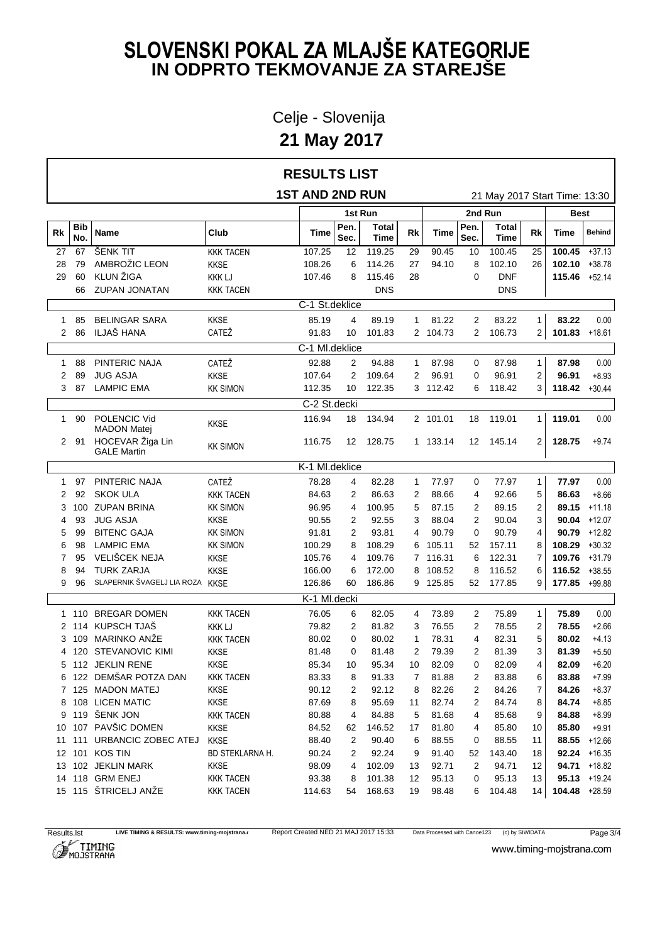Celje - Slovenija

**21 May 2017**

|              |            |                                        |                  | <b>RESULTS LIST</b>    |              |               |                |                        |              |                               |                |                  |                 |  |
|--------------|------------|----------------------------------------|------------------|------------------------|--------------|---------------|----------------|------------------------|--------------|-------------------------------|----------------|------------------|-----------------|--|
|              |            |                                        |                  | <b>1ST AND 2ND RUN</b> |              |               |                |                        |              | 21 May 2017 Start Time: 13:30 |                |                  |                 |  |
|              |            |                                        |                  |                        |              | 1st Run       |                | 2nd Run<br><b>Best</b> |              |                               |                |                  |                 |  |
| Rk           | Bib<br>No. | Name                                   | Club             | Time                   | Pen.<br>Sec. | Total<br>Time | Rk             | Time                   | Pen.<br>Sec. | <b>Total</b><br>Time          | Rk             | Time             | <b>Behind</b>   |  |
| 27           | 67         | ŠENK TIT                               | <b>KKK TACEN</b> | 107.25                 | 12           | 119.25        | 29             | 90.45                  | 10           | 100.45                        | 25             | $100.45 + 37.13$ |                 |  |
| 28           | 79         | AMBROŽIC LEON                          | <b>KKSE</b>      | 108.26                 | 6            | 114.26        | 27             | 94.10                  | 8            | 102.10                        | 26             | $102.10 + 38.78$ |                 |  |
| 29           | 60         | KLUN ŽIGA                              | <b>KKK LJ</b>    | 107.46                 | 8            | 115.46        | 28             |                        | 0            | <b>DNF</b>                    |                | 115.46 +52.14    |                 |  |
|              | 66         | <b>ZUPAN JONATAN</b>                   | <b>KKK TACEN</b> |                        |              | <b>DNS</b>    |                |                        |              | <b>DNS</b>                    |                |                  |                 |  |
|              |            |                                        |                  | C-1 St.deklice         |              |               |                |                        |              |                               |                |                  |                 |  |
|              | 85         | <b>BELINGAR SARA</b>                   | <b>KKSE</b>      | 85.19                  | 4            | 89.19         | $\mathbf{1}$   | 81.22                  | 2            | 83.22                         | $\mathbf{1}$   | 83.22            | 0.00            |  |
| 2            | 86         | ILJAŠ HANA                             | CATEŽ            | 91.83                  | 10           | 101.83        |                | 2 104.73               | $\mathbf{2}$ | 106.73                        | $\overline{2}$ | $101.83$ +18.61  |                 |  |
|              |            |                                        |                  | C-1 MI.deklice         |              |               |                |                        |              |                               |                |                  |                 |  |
| $\mathbf{1}$ | 88         | PINTERIC NAJA                          | CATEŽ            | 92.88                  | 2            | 94.88         | $\mathbf{1}$   | 87.98                  | 0            | 87.98                         | $\mathbf{1}$   | 87.98            | 0.00            |  |
| 2            | 89         | <b>JUG ASJA</b>                        | <b>KKSE</b>      | 107.64                 | 2            | 109.64        | 2              | 96.91                  | 0            | 96.91                         | $\overline{2}$ | 96.91            | $+8.93$         |  |
| 3            | 87         | <b>LAMPIC EMA</b>                      | <b>KK SIMON</b>  | 112.35                 | 10           | 122.35        |                | 3 112.42               |              | 6 118.42                      | 3              | $118.42 + 30.44$ |                 |  |
|              |            |                                        |                  | C-2 St.decki           |              |               |                |                        |              |                               |                |                  |                 |  |
| 1            | 90         | POLENCIC Vid<br><b>MADON Matej</b>     | <b>KKSE</b>      | 116.94                 | 18           | 134.94        |                | 2 101.01               | 18           | 119.01                        | 1              | 119.01           | 0.00            |  |
|              | 2 91       | HOCEVAR Žiga Lin<br><b>GALE Martin</b> | <b>KK SIMON</b>  | 116.75                 | 12           | 128.75        |                | 1 133.14               |              | 12 145.14                     | 2              | 128.75           | $+9.74$         |  |
|              |            |                                        |                  | K-1 MI.deklice         |              |               |                |                        |              |                               |                |                  |                 |  |
|              | 97         | PINTERIC NAJA                          | CATEŽ            | 78.28                  | 4            | 82.28         | 1              | 77.97                  | 0            | 77.97                         | $\mathbf{1}$   | 77.97            | 0.00            |  |
| 2            | 92         | <b>SKOK ULA</b>                        | <b>KKK TACEN</b> | 84.63                  | 2            | 86.63         | 2              | 88.66                  | 4            | 92.66                         | 5              | 86.63            | $+8.66$         |  |
| 3            |            | 100 ZUPAN BRINA                        | <b>KK SIMON</b>  | 96.95                  | 4            | 100.95        | 5              | 87.15                  | 2            | 89.15                         | 2              | 89.15            | +11.18          |  |
|              | 93         | <b>JUG ASJA</b>                        | <b>KKSE</b>      | 90.55                  | 2            | 92.55         | 3              | 88.04                  | 2            | 90.04                         | 3              |                  | $90.04 + 12.07$ |  |
| 5            | 99         | <b>BITENC GAJA</b>                     | <b>KK SIMON</b>  | 91.81                  | 2            | 93.81         | 4              | 90.79                  | 0            | 90.79                         | 4              |                  | $90.79 + 12.82$ |  |
| 6            | 98         | <b>LAMPIC EMA</b>                      | <b>KK SIMON</b>  | 100.29                 | 8            | 108.29        |                | 6 105.11               | 52           | 157.11                        | 8              | $108.29 + 30.32$ |                 |  |
|              | 95         | VELIŠCEK NEJA                          | <b>KKSE</b>      | 105.76                 | 4            | 109.76        |                | 7 116.31               | 6            | 122.31                        | 7              | 109.76 +31.79    |                 |  |
|              | 94         | <b>TURK ZARJA</b>                      | <b>KKSE</b>      | 166.00                 | 6            | 172.00        |                | 8 108.52               | 8            | 116.52                        | 6              | $116.52 + 38.55$ |                 |  |
| 9            | 96         | SLAPERNIK ŠVAGELJ LIA ROZA KKSE        |                  | 126.86                 | 60           | 186.86        |                | 9 125.85               |              | 52 177.85                     | 9              | 177.85 +99.88    |                 |  |
|              |            |                                        |                  | K-1 Ml.decki           |              |               |                |                        |              |                               |                |                  |                 |  |
|              |            | 110 BREGAR DOMEN                       | <b>KKK TACEN</b> | 76.05                  | 6            | 82.05         | 4              | 73.89                  | 2            | 75.89                         | $\mathbf{1}$   | 75.89            | 0.00            |  |
|              |            | 2 114 KUPSCH TJAŠ                      | <b>KKK LJ</b>    | 79.82                  | 2            | 81.82         | 3              | 76.55                  | 2            | 78.55                         | 2              | 78.55            | $+2.66$         |  |
| 3            |            | 109 MARINKO ANŽE                       | <b>KKK TACEN</b> | 80.02                  | 0            | 80.02         | -1             | 78.31                  | 4            | 82.31                         | 5              | 80.02            | $+4.13$         |  |
|              |            | 4 120 STEVANOVIC KIMI                  | <b>KKSE</b>      | 81.48                  | 0            | 81.48         | 2              | 79.39                  | 2            | 81.39                         | 3              | 81.39            | $+5.50$         |  |
|              |            | 5 112 JEKLIN RENE                      | <b>KKSE</b>      | 85.34                  | 10           | 95.34         | 10             | 82.09                  | 0            | 82.09                         | 4              | 82.09            | $+6.20$         |  |
|              |            | 6 122 DEMŠAR POTZA DAN                 | <b>KKK TACEN</b> | 83.33                  | 8            | 91.33         | $\overline{7}$ | 81.88                  | 2            | 83.88                         | 6              | 83.88            | $+7.99$         |  |
|              |            | 7 125 MADON MATEJ                      | <b>KKSE</b>      | 90.12                  | 2            | 92.12         | 8              | 82.26                  | 2            | 84.26                         | 7              | 84.26            | $+8.37$         |  |
|              |            | 8 108 LICEN MATIC                      | <b>KKSE</b>      | 87.69                  | 8            | 95.69         | 11             | 82.74                  | 2            | 84.74                         | 8              | 84.74            | $+8.85$         |  |
|              |            | 9 119 ŠENK JON                         | <b>KKK TACEN</b> | 80.88                  | 4            | 84.88         | 5              | 81.68                  | 4            | 85.68                         | 9              | 84.88            | $+8.99$         |  |
| 10           |            | 107 PAVŠIC DOMEN                       | <b>KKSE</b>      | 84.52                  | 62           | 146.52        | 17             | 81.80                  | 4            | 85.80                         | 10             | 85.80            | $+9.91$         |  |
|              |            | 11 111 URBANCIC ZOBEC ATEJ             | <b>KKSE</b>      | 88.40                  | 2            | 90.40         | 6              | 88.55                  | 0            | 88.55                         | 11             |                  | 88.55 +12.66    |  |
|              |            | 12 101 KOS TIN                         | BD STEKLARNA H.  | 90.24                  | 2            | 92.24         | 9              | 91.40                  | 52           | 143.40                        | 18             |                  | $92.24 + 16.35$ |  |
|              |            | 13 102 JEKLIN MARK                     | <b>KKSE</b>      | 98.09                  | 4            | 102.09        | 13             | 92.71                  | 2            | 94.71                         | 12             |                  | 94.71 +18.82    |  |
|              |            | 14 118 GRM ENEJ                        | <b>KKK TACEN</b> | 93.38                  | 8            | 101.38        | 12             | 95.13                  | 0            | 95.13                         | 13             |                  | $95.13 + 19.24$ |  |
|              |            | 15 115 ŠTRICELJ ANŽE                   | <b>KKK TACEN</b> | 114.63                 | 54           | 168.63        | 19             | 98.48                  | 6            | 104.48                        | 14             | 104.48 +28.59    |                 |  |

Results.lst LIVE TIMING & RESULTS: www.timing-mojstrana.com<br>
Report Created NED 21 MAJ 2017 15:33 Data Processed with Canoe123 (c) by SIWIDATA Page 3/4<br>
MOJSTRANA WWW.timing-mojstrana.com



www.timing-mojstrana.com